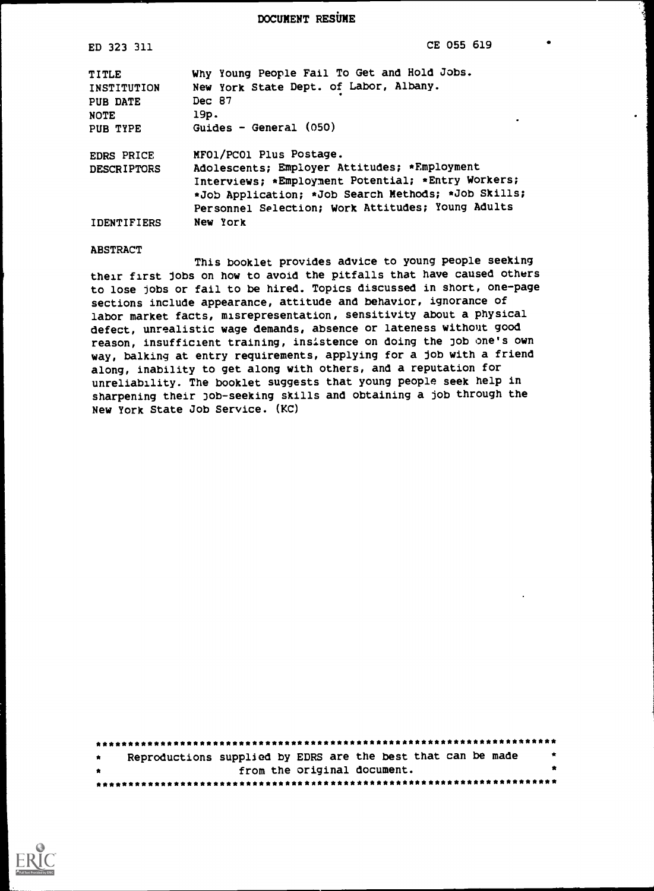DOCUMENT RESUME

| ED 323 311                                                    | CE 055 619                                                                                                                                                                                                                                            |
|---------------------------------------------------------------|-------------------------------------------------------------------------------------------------------------------------------------------------------------------------------------------------------------------------------------------------------|
| TITLE<br>INSTITUTION<br>PUB DATE<br>NOTE<br>PUB TYPE          | Why Young People Fail To Get and Hold Jobs.<br>New York State Dept. of Labor, Albany.<br>Dec 87<br>19p.<br>Guides - General $(050)$                                                                                                                   |
| <b>EDRS PRICE</b><br><b>DESCRIPTORS</b><br><b>IDENTIFIERS</b> | MFO1/PCO1 Plus Postage.<br>Adolescents; Employer Attitudes; *Employment<br>Interviews; *Employment Potential; *Entry Workers;<br>*Job Application; *Job Search Methods; *Job Skills;<br>Personnel Selection; Work Attitudes; Young Adults<br>New York |

#### ABSTRACT

This booklet provides advice to young people seeking their first Jobs on how to avoid the pitfalls that have caused others to lose jobs or fail to be hired. Topics discussed in short, one-page sections include appearance, attitude and behavior, ignorance of labor market facts, misrepresentation, sensitivity about a physical defect, unrealistic wage demands, absence or lateness without good reason, insufficient training, insistence on doing the job one's own way, balking at entry requirements, applying for a job with a friend along, inability to get along with others, and a reputation for unreliability. The booklet suggests that young people seek help in sharpening their job-seeking skills and obtaining a job through the New York State Job Service. (KC)

| $\bullet$ | Reproductions supplied by EDRS are the best that can be made | $\bullet$ |  |  |
|-----------|--------------------------------------------------------------|-----------|--|--|
| $\bullet$ | from the original document.                                  |           |  |  |
|           |                                                              |           |  |  |

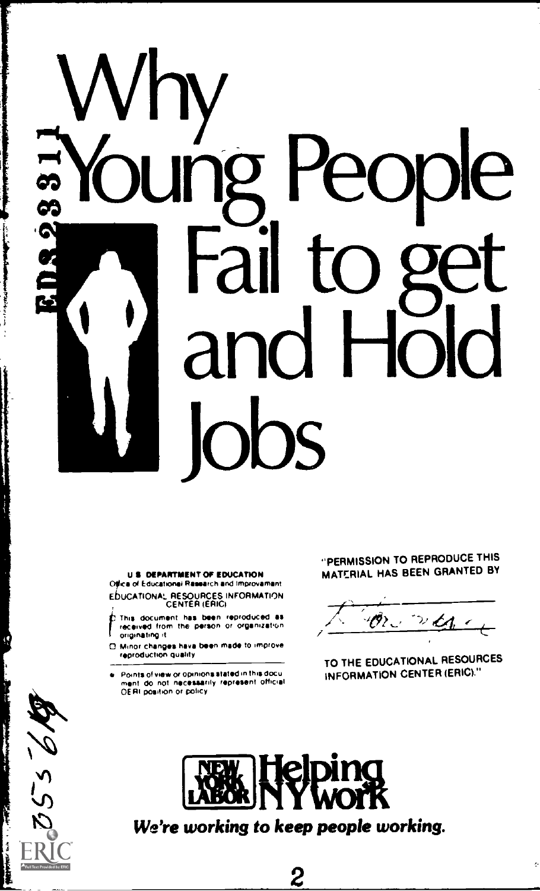# Why<br>Soung People<br>Soung People ...Young People Fail to get and obs

#### US DEPARTMENT OF EDUCATION Ofica of Educational Research and improvement EbUCATIONAL RESOURCES INFORMATION CENTER (ERICI

- This document has been reproduced as recsuved Own !NI Prson Or OqiinZston / . OngortattlIg a /
- $\Box$  Minor changes have been made to improve<br>reproduction quality
- Points of view or opinions stated in this document do not necessarily represent official<br>OERI position or policy

 $356/$ 

#### "PERMISSION TO REPRODUCE THIS MATERIAL HAS BEEN GRANTED BY

TO THE EDUCATIONAL RESOURCES INFORMATION CENTER (ERIC)."

ę.



We're working to keep people working.

2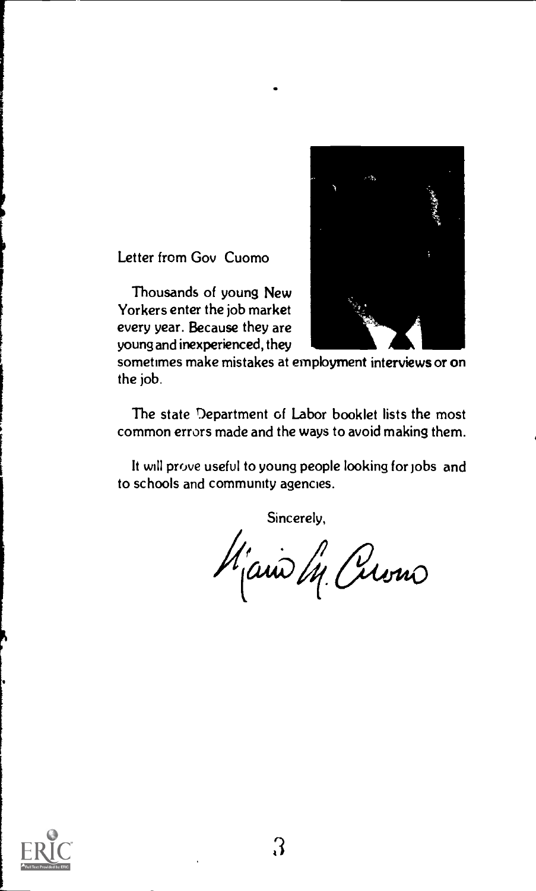

Letter from Gov Cuomo

Thousands of young New Yorkers enter the job market every year. Because they are young and inexperienced, they

sometimes make mistakes at employment interviews or on the job.

The state Department of Labor booklet lists the most common errors made and the ways to avoid making them.

It will prove useful to young people looking for jobs and to schools and community agencies.

Sincerely,

Man M (rions  $\sim$  $\omega$ uro

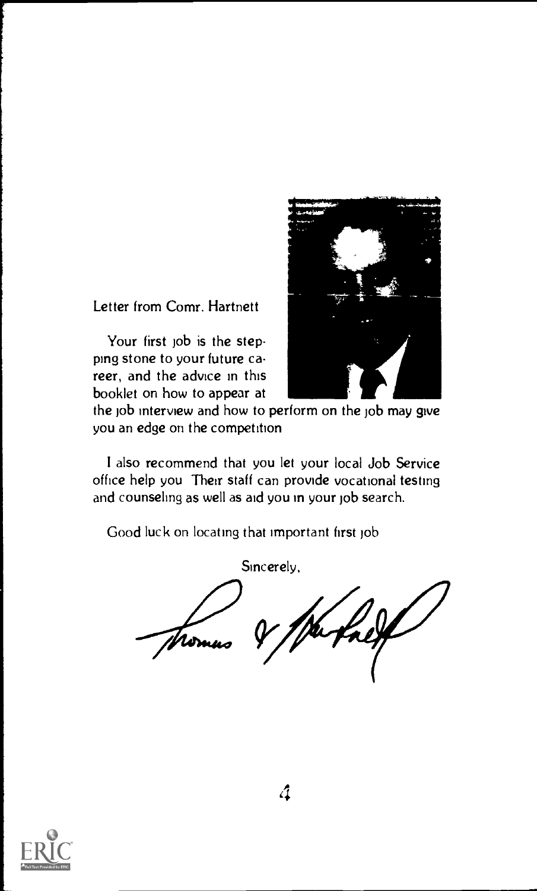Letter from Comr. Hartnett

Your first job is the stepping stone to your future career, and the advice in this booklet on how to appear at



the job interview and how to perform on the job may give you an edge on the competition

I also recommend that you let your local Job Service office help you Their staff can provide vocational testing and counseling as well as aid you in your job search.

Good luck on locating that important first job



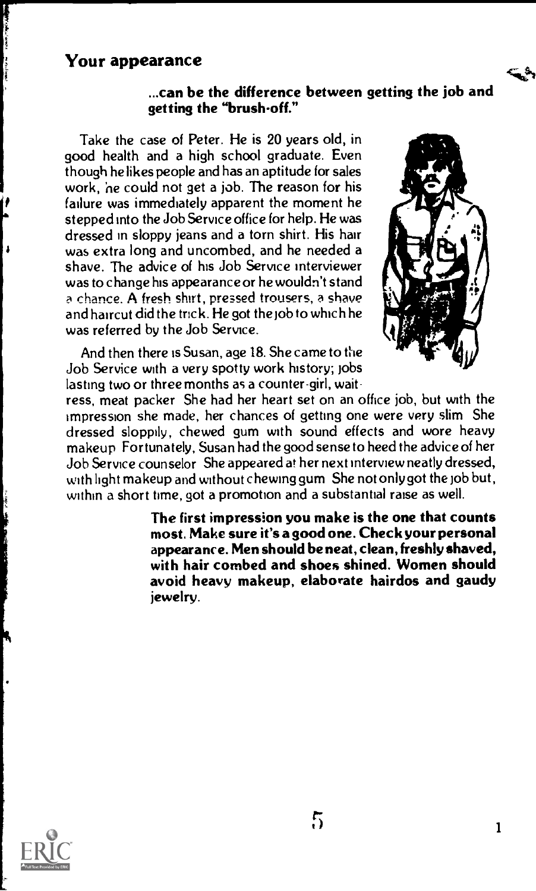# Your appearance

#### ...can be the difference between getting the job and getting the "brush-off."

Take the case of Peter. He is 20 years old, in good health and a high school graduate. Even though he likes people and has an aptitude for sales work, he could not get a job. The reason for his failure was immediately apparent the moment he stepped into the Job Service office for help. He was dressed in sloppy jeans and a torn shirt. His hair was extra long and uncombed, and he needed a shave. The advice of his Job Service interviewer was to change his appearance or he wouldn't stand a chance. A fresh shirt, pressed trousers, a shave and haircut did the tnck. He got the job to which he was referred by the Job Service.

And then there is Susan, age 18. She came to the Job Service with a very spotty work history; jobs lasting two or three months as a counter-girl, wait-



'cilk.\$,4

ress, meat packer She had her heart set on an office job, but with the impression she made, her chances of getting one were very slim She dressed sloppily, chewed gum with sound effects and wore heavy makeup Fortunately, Susan had the good sense to heed the advice of her Job Service counselor She appeared at her next interview neatly dressed, with light makeup and without chewing gum She not only got the job but, within a short time, got a promotion and a substantial raise as well.

> The first impression you make is the one that counts most. Make sure it's a good one. Check your personal appearance. Men should be neat, clean, freshly shaved, with hair combed and shoes shined. Women should avoid heavy makeup, elaborate hairdos and gaudy jewelry.

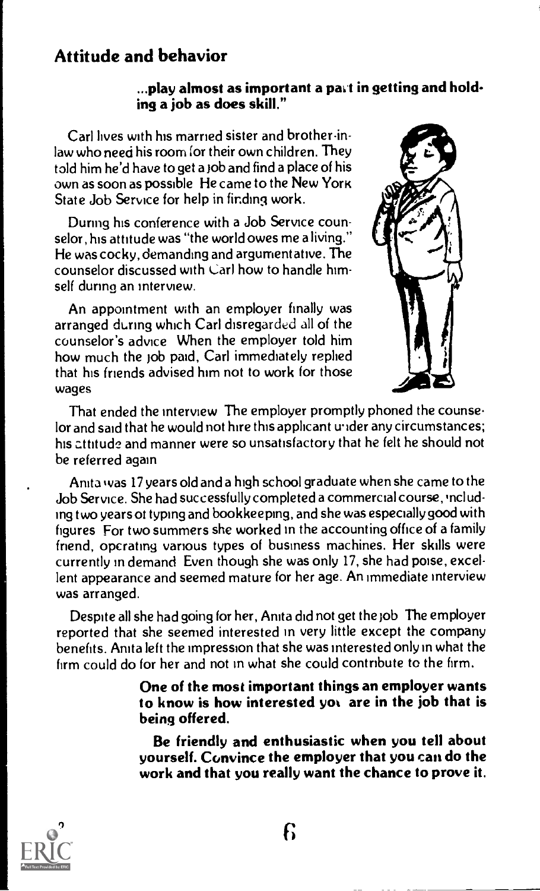# Attitude and behavior

#### ...play almost as important a part in getting and holding a job as does skill."

Carl lives with his married sister and brother-inlaw who need his room for their own children. They told him he'd have to get a job and find a place of his  $own$  as soon as possible He came to the New York State Job Service for help in finding work.

During his conference with a Job Service counselor, his attitude was "the world owes me a living." He was cocky, demanding and argumentative. The counselor discussed with Carl how to handle himself during an interview.

An appointment with an employer finally was arranged during which Carl disregarded all of the counselor's advice When the employer told him how much the job paid, Carl immediately replied that his friends advised him not to work for those wages



That ended the interview The employer promptly phoned the counselor and said that he would not hire this applicant under any circumstances; his attitude and manner were so unsatisfactory that he felt he should not be referred again

Anita was 17 years old and a high school graduate when she came to the Job Service. She had successfully completed a commercial course, 'ncluding two years ot typing and bookkeeping, and she was especially good with figures For two summers she worked in the accounting office of a family friend, operating vanous types of business machines. Her skills were currently in demand Even though she was only 17, she had poise, excellent appearance and seemed mature for her age. An immediate interview was arranged.

Despite all she had going for her, Anita did not get the Job The employer reported that she seemed interested in very little except the company benefits. Anita left the impression that she was interested only in what the firm could do for her and not in what she could contribute to the firm.

> One of the most important things an employer wants to know is how interested yot are in the job that is being offered.

> Be friendly and enthusiastic when you tell about yourself. Convince the employer that you can do the work and that you really want the chance to prove it.

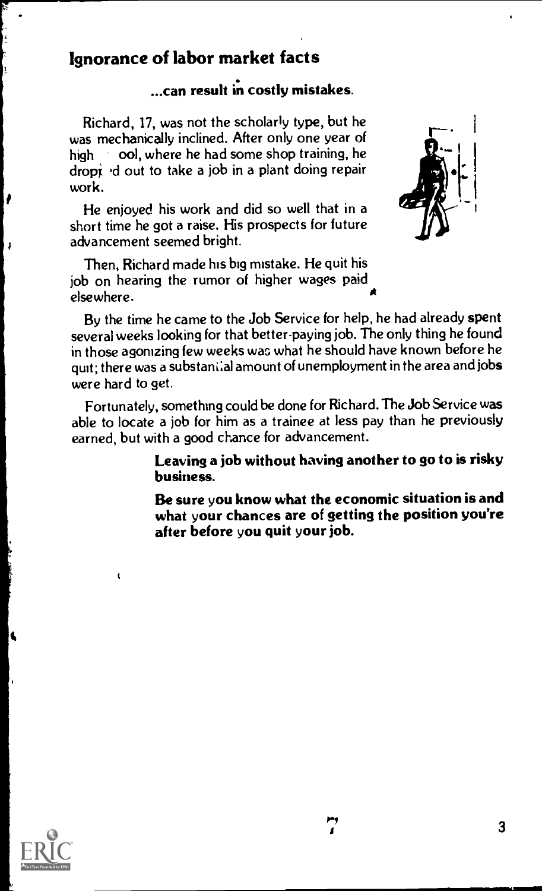# Ignorance of labor market facts

# ...can result in costly mistakes.

Richard, 17, was not the scholarly type, but he was mechanically inclined. After only one year of high ool, where he had some shop training, he dropi ,d out to take a job in a plant doing repair work.

He enjoyed his work and did so well that in a short time he got a raise. His prospects for future advancement seemed bright.

Then, Richard made his big mistake. He quit his job on hearing the rumor of higher wages paid elsewhere.



By the time he came to the Job Service for help, he had already spent several weeks looking for that better-paying job. The only thing he found in those agonizing few weeks was what he should have known before he quit; there was a substani:al amount of unemployment in the area and jobs were hard to get.

Fortunately, something could be done for Richard. The Job Service was able to locate a job for him as a trainee at less pay than he previously earned, but with a good chance for advancement.

> Leaving a job without having another to go to is risky business.

> Be sure you know what the economic situation is and what your chances are of getting the position you're after before you quit your job.



ł

į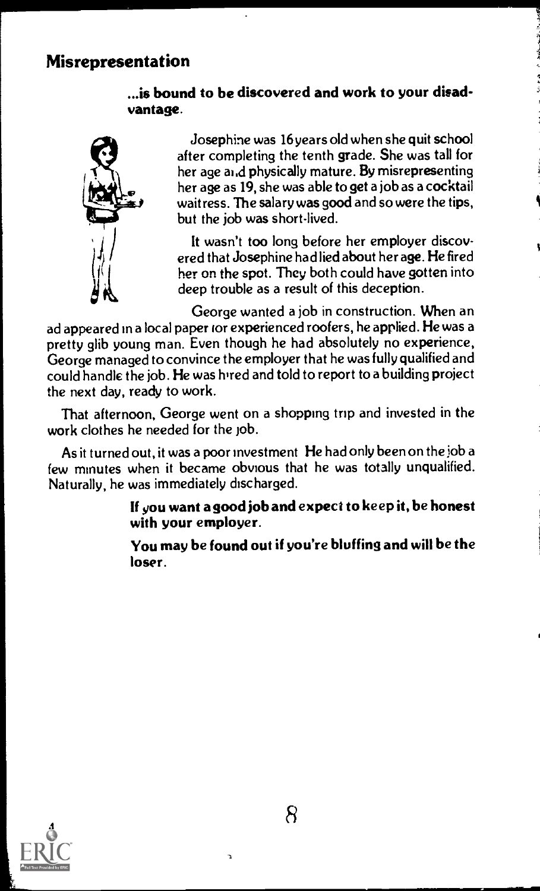# ...is bound to be discovered and work to your disadvantage.



Josephine was 16 years old when she quit school her age and physically mature. By misrepresenting after completing the tenth grade. She was tall for her age as 19, she was able to get a job as a cocktail waitress. The salary was good and so were the tips, but the job was short-lived.

A

It wasn't too long before her employer discovered that Josephine had lied about her age. He fired her on the spot. They both could have gotten into deep trouble as a result of this deception.

George wanted a job in construction. When an ad appeared in a local paper for experienced roofers, he applied. He was a pretty glib young man. Even though he had absolutely no experience, George managed to convince the employer that he was fully qualified and could handle the job. He was hired and told to report to a building project the next day, ready to work.

That afternoon, George went on a shopping trip and invested in the work clothes he needed for the job.

As it turned out, it was a poor investment He had only been on the job a few minutes when it became obvious that he was totally unqualified. Naturally, he was immediately discharged.

> If you want a good job and expect to keep it, be honest with your employer.

> You may be found out if you're bluffing and will be the loser.

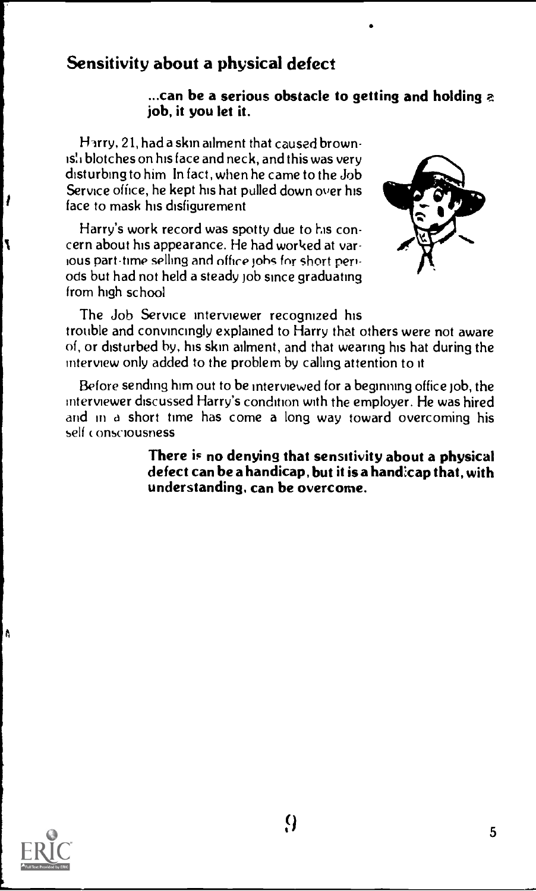# Sensitivity about a physical defect

#### ...can be a serious obstacle to getting and holding a job, it you let it.

Harry,  $21$ , had a skin ailment that caused brownis: i blotches on his face and neck, and this was very disturbing to him In fact, when he came to the Job Service office, he kept his hat pulled down over his face to mask his disfigurement

Harry's work record was spotty due to his concern about his appearance. He had worked at various part-time selhng and offire johc for short periods but had not held a steady Job since graduating from high school



The Job Service interviewer recognized his

trouble and convincingly explained to Harry that others were not aware of, or disturbed by, his skin ailment, and that wearing his hat during the interview only added to the problem by calling attention to it

Before sending him out to be interviewed for a beginning office job, the interviewer discussed Harry's condition with the employer. He was hired and in a short time has come a long way toward overcoming his self consciousness

> There is no denying that sensitivity about a physical defect can be a handicap, but it is a hand:cap that, with understanding, can be overcome.



1

٦

A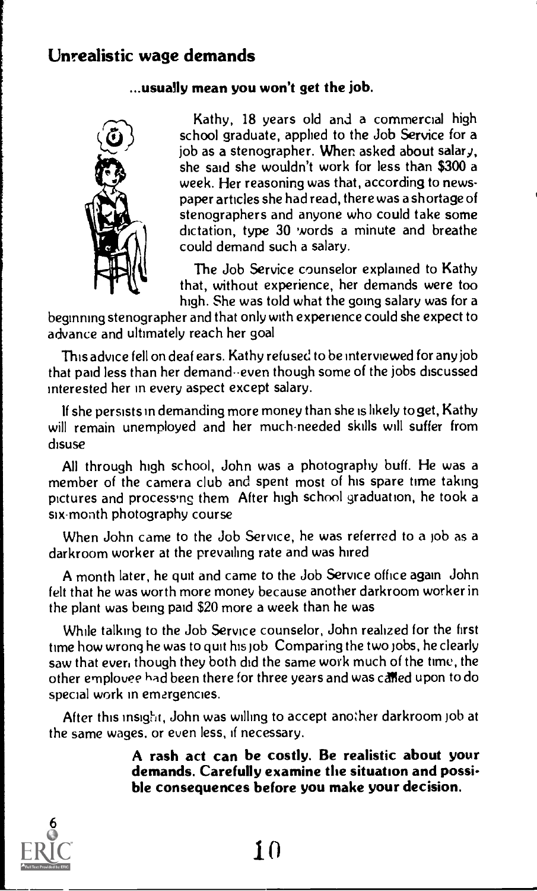# Unrealistic wage demands

#### ...usually mean you won't get the job.



Kathy, 18 years old and a commercial high school graduate, applied to the Job Service for a job as a stenographer. When asked about salary, she said she wouldn't work for less than \$300 a week. Her reasoning was that, according to newspaper articles she had read, there was a shortage of stenographers and anyone who could take some dictation, type 30 words a minute and breathe could demand such a salary.

The Job Service counselor explained to Kathy that, without experience, her demands were too high. She was told what the going salary was for a

beginning stenographer and that only with experience could she expect to advance and ultimately reach her goal

This advice fell on deaf ears. Kathy refused to be interviewed for any job that paid less than her demand--even though some of the jobs discussed interested her in every aspect except salary.

If she persists in demanding more money than she is likely to get, Kathy will remain unemployed and her much-needed skills will suffer from disuse

All through high school, John was a photography buff. He was a member of the camera club and spent most of his spare time taking pictures and processing them After high school graduation, he took a six-month photography course

When John came to the Job Service, he was referred to a job as a darkroom worker at the prevailing rate and was hired

A month later, he quit and came to the Job Service office again John felt that he was worth more money because another darkroom worker in the plant was being paid \$20 more a week than he was

While talking to the Job Service counselor, John realized for the first time how wrong he was to quit his job Comparing the two jobs, he clearly saw that ever, though they both did the same work much of the time, the other employee had been there for three years and was called upon to do special work in emergencies.

After this insight, John was willing to accept another darkroom job at the same wages, or even less, if necessary.

> A rash act can be costly. Be realistic about your demands. Carefully examine the situation and possible consequences before you make your decision.



 $10$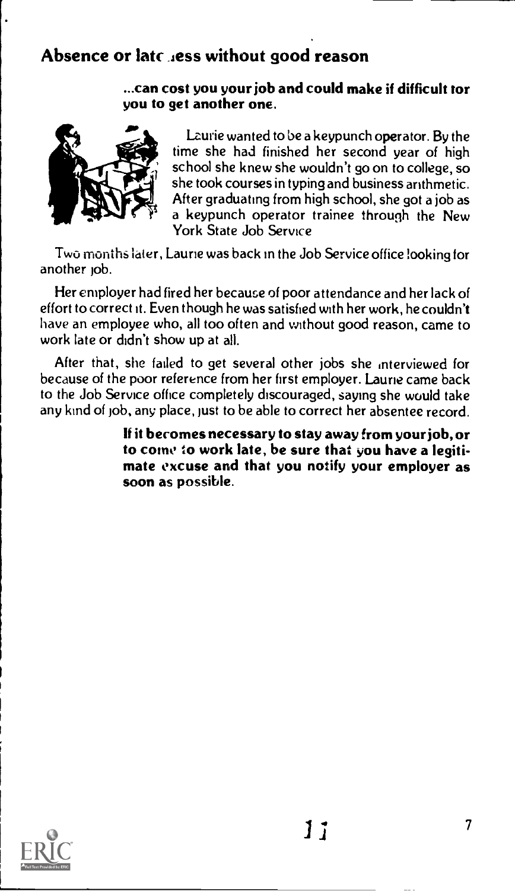# Absence or latc less without good reason

#### ...can cost you your job and could make if difficult tor you to get another one.



Lzurie wanted to be a keypunch operator. By the time she had finished her second year of high school she knew she wouldn't go on to college, so she took courses in typing and business arithmetic. After graduating from high school, she got a job as a keypunch operator trainee through the New York State Job Service

Two months later, Laurie was back in the Job Service office looking for another job.

Her employer had fired her because of poor attendance and her lack of effort to correct it. Even though he was satisfied with her work, he couldn't have an employee who, all too often and without good reason, came to work late or didn't show up at all.

After that, she failed to get several other jobs she interviewed for because of the poor reference from her first employer. Laurie came back to the Job Service office completely discouraged, saying she would take any kind of job, any place, just to be able to correct her absentee record.

> If it becomes necessary to stay away from your job, or to come to work late, be sure that you have a legitimate excuse and that you notify your employer as soon as possible.

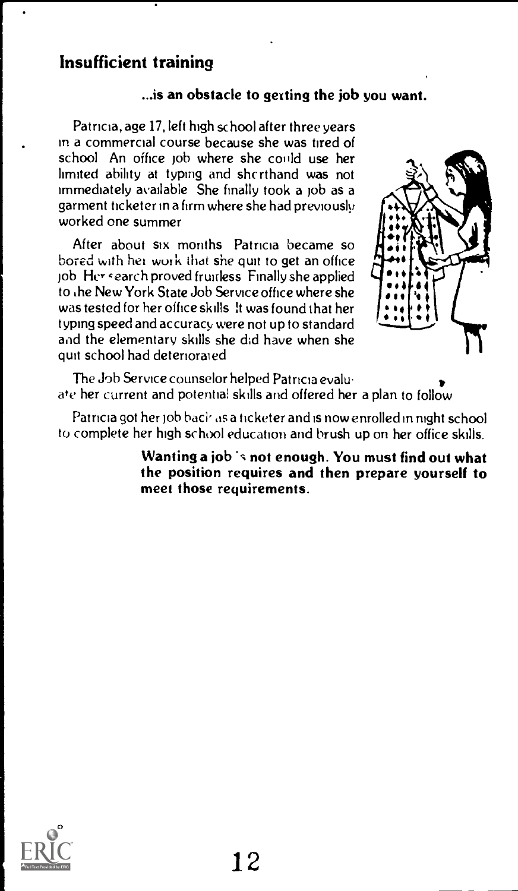# Insufficient training

#### ...is an obstacle to getting the job you want.

Patricia, age 17, left high school after three years in a commercial course because she was tired of school. An office job where she could use her limited ability at typing and shcrthand was not immediately available She finally took a job as a garment tic keter in a firm where she had previously worked one summer

After about six months Patricia became so bored with het work that she quit to get an office job Her cearch proved fruitless Finally she applied to ihe New York State Job Service office where she was tested for her office skills. It was found that her typing speed and accuracy were not up to standard and the elementary skills she did have when she quit school had deteriorated



The Job Service counselor helped Patricia evaluate her current and potential skills and offered her a plan to follow the contract of the contract of the contract of the contract of the contract of the contract of the contract of the contract of the contract of the contract of the contract of the contract of the contract of the contract o

Patricia got her job back as a ticketer and is now enrolled in night school to complete her high school education and brush up on her office skills.

> Wanting a job is not enough. You must find out what the position requires and then prepare yourself to meet those requirements.

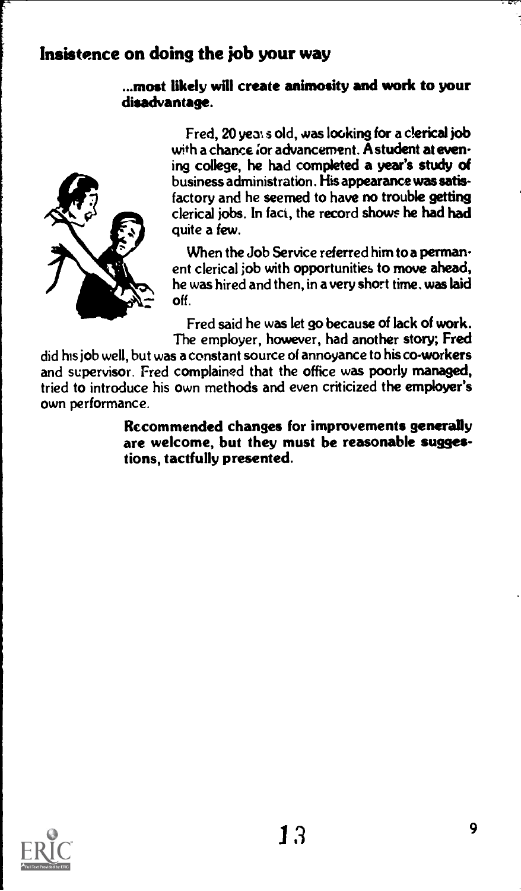# Insistence on doing the job your way

### ...most likely will create animosity and work to your disadvantage.



Fred, 20 yea: s old, was looking for a clerical job with a chance for advancement. A student at evening college, he had completed a year's study of business administration. His appearance was satisfactory and he seemed to have no trouble getting clerical jobs. In fact, the record showe he had had quite a few.

When the Job Service referred him to a permanent clerical job with opportunities to move ahead, he was hired and then, in a very short time. was laid off.

Fred said he was let go because of lack of work. The employer, however, had another story; Fred

did his job well, but was a constant source of annoyance to his co-workers and supervisor. Fred complained that the office was poorly managed, tried to introduce his own methods and even criticized the employer's own performance.

> Recommended changes for improvements generally are welcome, but they must be reasonable suggestions, tactfully presented.

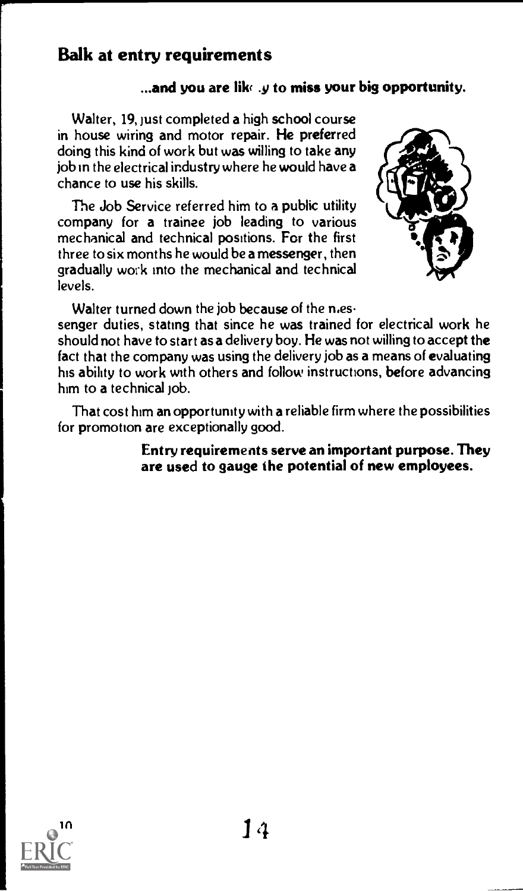# Balk at entry requirements

# $\ldots$ and you are like  $\boldsymbol{\psi}$  to miss your big opportunity.

Walter, 19, just completed a high school course in house wiring and motor repair. He preferred doing this kind of work but was willing to take any job in the electrical industry where he would have a chance to use his skills.

The Job Service referred him to a public utility company for a trainee job leading to various mechanical and technical positions. For the first three to six months he would be a messenger, then gradually work into the mechanical and technical levels.



Walter turned down the job because of the  $n.e.$ 

senger duties, stating that since he was trained for electrical work he should not have to start as a delivery boy. He was not willing to accept the fact that the company was using the delivery job as a means of evaluating his ability to work with others and follow instructions, before advancing him to a technical  $\mathrm{lob.}$ 

That cost him an opportunity with a reliable firm where the possibilities for promotion are exceptionally good.

#### Entry requirements serve an important purpose. They are used to gauge the potential of new employees.

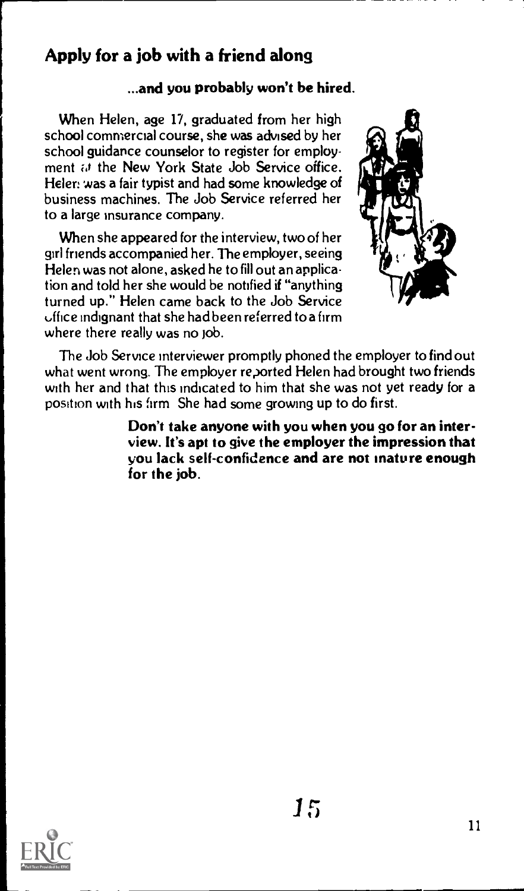# Apply for a job with a friend along

# ...and you probably won't be hired.

When Helen, age 17, graduated from her high school commercial course, she was advised by her school guidance counselor to register for employment id the New York State Job Service office. Heler: was a fair typist and had some knowledge of business machines. The Job Service referred her to a large insurance company.

When she appeared for the interview, two of her girl friends accompanied her. The employer, seeing Helen was not alone, asked he to fill out an application and told her she would be notified if "anything turned up." Helen came back to the Job Service office indignant that she had been referred to a firm where there really was no job.



The Job Service interviewer promptly phoned the employer to find out what went wrong. The employer reported Helen had brought two friends with her and that this indicated to him that she was not yet ready for a position with his firm She had some growing up to do first.

> Don't take anyone with you when you go for an interview. It's apt to give the employer the impression that you lack self-confidence and are not mature enough for the job.

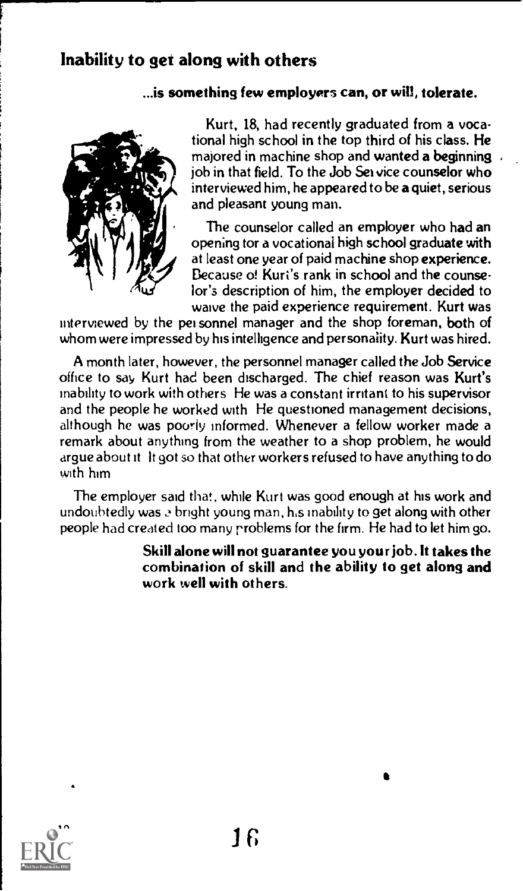# Inability to get along with others

#### ...is something few employers can, or will, tolerate.



Kurt, 18, had recently graduated from a vocational high school in the top third of his class. He majored in machine shop and wanted a beginning job in that field. To the Job Set vice counselor who interviewed him, he appeared to be a quiet, serious and pleasant young man.

The counselor called an employer who had an opening tor a vocational high school graduate with at least one year of paid machine shop experience. Because of Kurt's rank in school and the counselor's description of him, the employer decided to waive the paid experience requirement. Kurt was

interviewed by the pei-sonnel manager and the shop foreman, both of whom were impressed by his intelligence and personality. Kurt was hired.

A month later, however, the personnel manager called the Job Service office to say Kurt had been discharged. The chief reason was Kurt's inability to work with others He was a constant irritant to his supervisor and the people he worked with He questioned management decisions, although he was poorly informed. Whenever a fellow worker made a remark about anything from the weather to a shop problem, he would argue about it It got so that other workers refused to have anything to do with him

The employer said that, while Kurt was good enough at his work and undoubtedly was a bright young man, his inability to get along with other people had created too many problems for the firm. He had to let him go.

> Skill alone will not guarantee you your job. It takes the combination of skill and the ability to get along and work well with others.

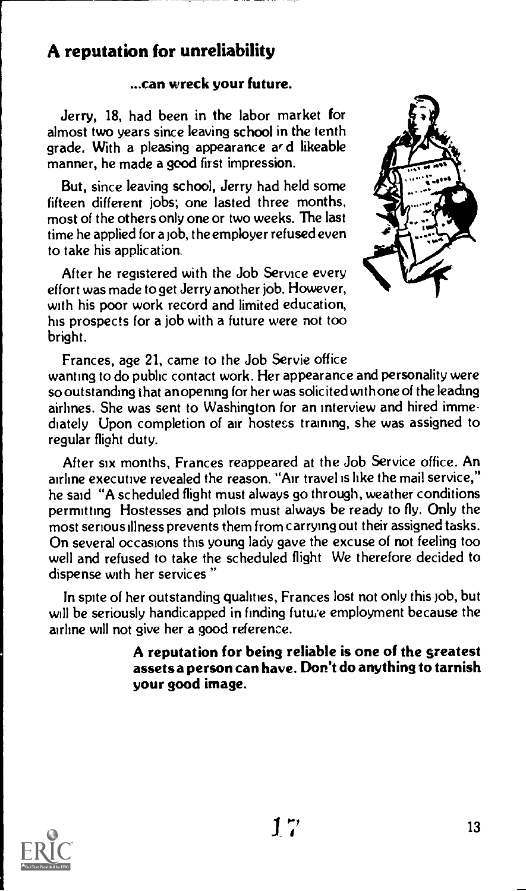# A reputation for unreliability

### ...can wreck your future.

Jerry, 18, had been in the labor market for almost two years since leaving school in the tenth grade. With a pleasing appearance ar d likeable manner, he made a good first impression.

But, since leaving school, Jerry had held some fifteen different jobs; one lasted three months, most of the others only one or two weeks. The last time he applied for a job, the employer refused even to take his application.

After he registered with the Job Service every effort was made to get Jerry another job. However, with his poor work record and limited education, his prospects for a job with a future were not too bright.



Frances, age 21, came to the Job Servie office wanting to do public contact work. Her appearance and personality were so outstanding that an opening for her was solicited with one of the leading airlines. She was sent to Washington for an interview and hired immediately Upon completion of air hostess training, she was assigned to regular flight duty.

After six months, Frances reappeared at the Job Service office. An airline executive revealed the reason. "Air travel is like the mail service," he said "A scheduled flight must always go through, weather conditions permitting Hostesses and pilots must always be ready to fly. Only the most serious illness prevents them from carrying out their assigned tasks. On several occasions this young lady gave the excuse of not feeling too well and refused to take the scheduled flight We therefore decided to dispense with her services "

In spite of her outstanding qualities, Frances lost not only this job, but will be seriously handicapped in finding future employment because the airline will not give her a good reference.

> A reputation for being reliable is one of the greatest assets a person can have. Don't do anything to tarnish your good image.

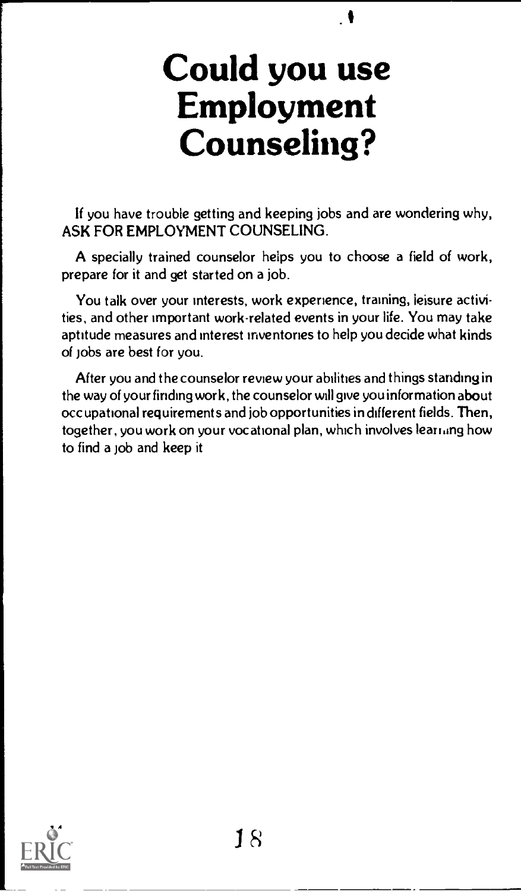# Could you use Employment Counseling?

If you have trouble getting and keeping jobs and are wondering why, ASK FOR EMPLOYMENT COUNSELING.

A specially trained counselor helps you to choose a field of work, prepare for it and get started on a job.

You talk over your interests, work experience, training, leisure activities, and other important work-related events in your life. You may take aptitude measures and interest inventories to help you decide what kinds of jobs are best for you.

After you and the counselor review your abihhes and things standing in the way of your finding work, the counselor will give you information about occupational requirements and job opportunities in different fields. Then, together, you work on your vocational plan, which involves leariang how to find a job and keep it